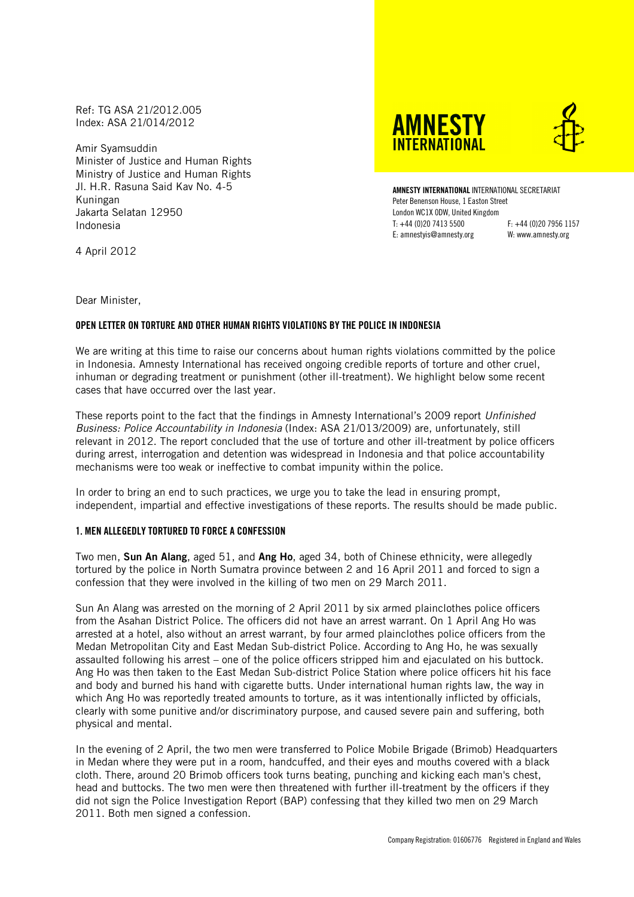Ref: TG ASA 21/2012.005 Index: ASA 21/014/2012

Amir Syamsuddin Minister of Justice and Human Rights Ministry of Justice and Human Rights Jl. H.R. Rasuna Said Kav No. 4-5 Kuningan Jakarta Selatan 12950 Indonesia

**AMNESTY INTFRNATIONAL** 



AMNESTY INTERNATIONAL INTERNATIONAL SECRETARIAT Peter Benenson House, 1 Easton Street London WC1X 0DW, United Kingdom T: +44 (0)20 7413 5500 F: +44 (0)20 7956 1157 E: amnestyis@amnesty.org W: www.amnesty.org

4 April 2012

Dear Minister,

# OPEN LETTER ON TORTURE AND OTHER HUMAN RIGHTS VIOLATIONS BY THE POLICE IN INDONESIA

We are writing at this time to raise our concerns about human rights violations committed by the police in Indonesia. Amnesty International has received ongoing credible reports of torture and other cruel, inhuman or degrading treatment or punishment (other ill-treatment). We highlight below some recent cases that have occurred over the last year.

These reports point to the fact that the findings in Amnesty International's 2009 report Unfinished Business: Police Accountability in Indonesia (Index: ASA 21/013/2009) are, unfortunately, still relevant in 2012. The report concluded that the use of torture and other ill-treatment by police officers during arrest, interrogation and detention was widespread in Indonesia and that police accountability mechanisms were too weak or ineffective to combat impunity within the police.

In order to bring an end to such practices, we urge you to take the lead in ensuring prompt, independent, impartial and effective investigations of these reports. The results should be made public.

### 1. MEN ALLEGEDLY TORTURED TO FORCE A CONFESSION

Two men, Sun An Alang, aged 51, and Ang Ho, aged 34, both of Chinese ethnicity, were allegedly tortured by the police in North Sumatra province between 2 and 16 April 2011 and forced to sign a confession that they were involved in the killing of two men on 29 March 2011.

Sun An Alang was arrested on the morning of 2 April 2011 by six armed plainclothes police officers from the Asahan District Police. The officers did not have an arrest warrant. On 1 April Ang Ho was arrested at a hotel, also without an arrest warrant, by four armed plainclothes police officers from the Medan Metropolitan City and East Medan Sub-district Police. According to Ang Ho, he was sexually assaulted following his arrest – one of the police officers stripped him and ejaculated on his buttock. Ang Ho was then taken to the East Medan Sub-district Police Station where police officers hit his face and body and burned his hand with cigarette butts. Under international human rights law, the way in which Ang Ho was reportedly treated amounts to torture, as it was intentionally inflicted by officials, clearly with some punitive and/or discriminatory purpose, and caused severe pain and suffering, both physical and mental.

In the evening of 2 April, the two men were transferred to Police Mobile Brigade (Brimob) Headquarters in Medan where they were put in a room, handcuffed, and their eyes and mouths covered with a black cloth. There, around 20 Brimob officers took turns beating, punching and kicking each man's chest, head and buttocks. The two men were then threatened with further ill-treatment by the officers if they did not sign the Police Investigation Report (BAP) confessing that they killed two men on 29 March 2011. Both men signed a confession.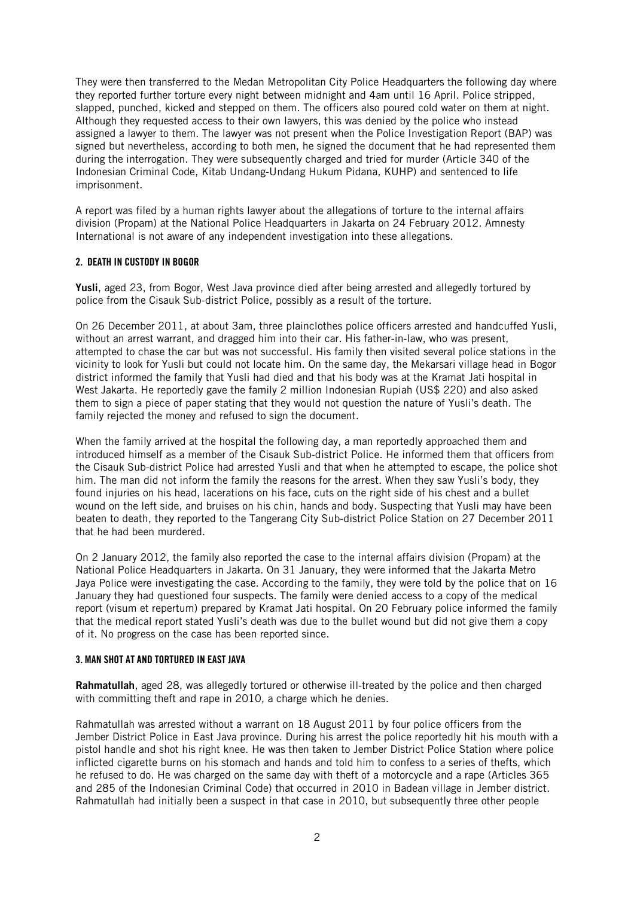They were then transferred to the Medan Metropolitan City Police Headquarters the following day where they reported further torture every night between midnight and 4am until 16 April. Police stripped, slapped, punched, kicked and stepped on them. The officers also poured cold water on them at night. Although they requested access to their own lawyers, this was denied by the police who instead assigned a lawyer to them. The lawyer was not present when the Police Investigation Report (BAP) was signed but nevertheless, according to both men, he signed the document that he had represented them during the interrogation. They were subsequently charged and tried for murder (Article 340 of the Indonesian Criminal Code, Kitab Undang-Undang Hukum Pidana, KUHP) and sentenced to life imprisonment.

A report was filed by a human rights lawyer about the allegations of torture to the internal affairs division (Propam) at the National Police Headquarters in Jakarta on 24 February 2012. Amnesty International is not aware of any independent investigation into these allegations.

## 2. DEATH IN CUSTODY IN BOGOR

Yusli, aged 23, from Bogor, West Java province died after being arrested and allegedly tortured by police from the Cisauk Sub-district Police, possibly as a result of the torture.

On 26 December 2011, at about 3am, three plainclothes police officers arrested and handcuffed Yusli, without an arrest warrant, and dragged him into their car. His father-in-law, who was present, attempted to chase the car but was not successful. His family then visited several police stations in the vicinity to look for Yusli but could not locate him. On the same day, the Mekarsari village head in Bogor district informed the family that Yusli had died and that his body was at the Kramat Jati hospital in West Jakarta. He reportedly gave the family 2 million Indonesian Rupiah (US\$ 220) and also asked them to sign a piece of paper stating that they would not question the nature of Yusli's death. The family rejected the money and refused to sign the document.

When the family arrived at the hospital the following day, a man reportedly approached them and introduced himself as a member of the Cisauk Sub-district Police. He informed them that officers from the Cisauk Sub-district Police had arrested Yusli and that when he attempted to escape, the police shot him. The man did not inform the family the reasons for the arrest. When they saw Yusli's body, they found injuries on his head, lacerations on his face, cuts on the right side of his chest and a bullet wound on the left side, and bruises on his chin, hands and body. Suspecting that Yusli may have been beaten to death, they reported to the Tangerang City Sub-district Police Station on 27 December 2011 that he had been murdered.

On 2 January 2012, the family also reported the case to the internal affairs division (Propam) at the National Police Headquarters in Jakarta. On 31 January, they were informed that the Jakarta Metro Jaya Police were investigating the case. According to the family, they were told by the police that on 16 January they had questioned four suspects. The family were denied access to a copy of the medical report (visum et repertum) prepared by Kramat Jati hospital. On 20 February police informed the family that the medical report stated Yusli's death was due to the bullet wound but did not give them a copy of it. No progress on the case has been reported since.

# 3. MAN SHOT AT AND TORTURED IN EAST JAVA

Rahmatullah, aged 28, was allegedly tortured or otherwise ill-treated by the police and then charged with committing theft and rape in 2010, a charge which he denies.

Rahmatullah was arrested without a warrant on 18 August 2011 by four police officers from the Jember District Police in East Java province. During his arrest the police reportedly hit his mouth with a pistol handle and shot his right knee. He was then taken to Jember District Police Station where police inflicted cigarette burns on his stomach and hands and told him to confess to a series of thefts, which he refused to do. He was charged on the same day with theft of a motorcycle and a rape (Articles 365 and 285 of the Indonesian Criminal Code) that occurred in 2010 in Badean village in Jember district. Rahmatullah had initially been a suspect in that case in 2010, but subsequently three other people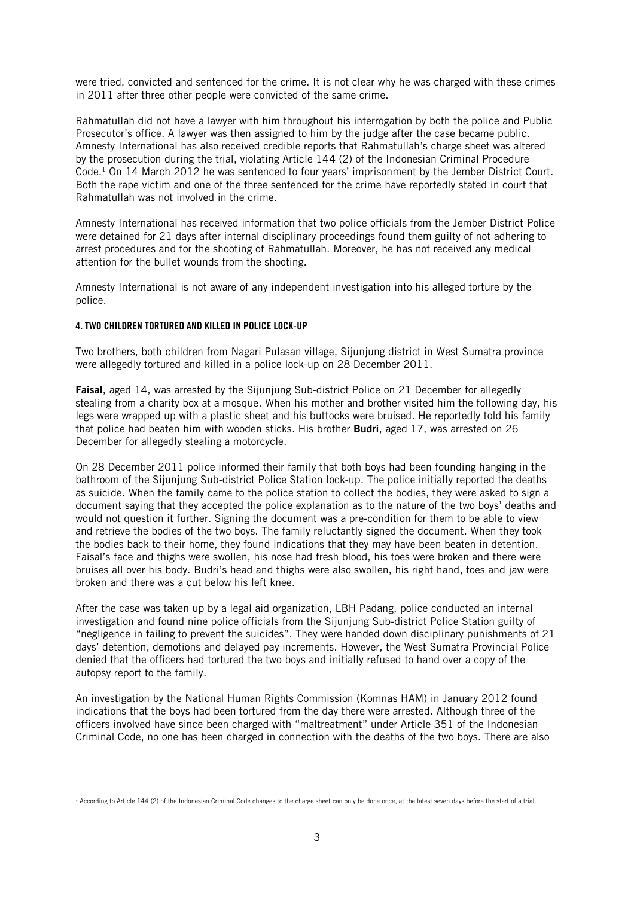were tried, convicted and sentenced for the crime. It is not clear why he was charged with these crimes in 2011 after three other people were convicted of the same crime.

Rahmatullah did not have a lawyer with him throughout his interrogation by both the police and Public Prosecutor's office. A lawyer was then assigned to him by the judge after the case became public. Amnesty International has also received credible reports that Rahmatullah's charge sheet was altered by the prosecution during the trial, violating Article 144 (2) of the Indonesian Criminal Procedure Code.<sup>1</sup> On 14 March 2012 he was sentenced to four years' imprisonment by the Jember District Court. Both the rape victim and one of the three sentenced for the crime have reportedly stated in court that Rahmatullah was not involved in the crime.

Amnesty International has received information that two police officials from the Jember District Police were detained for 21 days after internal disciplinary proceedings found them guilty of not adhering to arrest procedures and for the shooting of Rahmatullah. Moreover, he has not received any medical attention for the bullet wounds from the shooting.

Amnesty International is not aware of any independent investigation into his alleged torture by the police.

## 4. TWO CHILDREN TORTURED AND KILLED IN POLICE LOCK-UP

l

Two brothers, both children from Nagari Pulasan village, Sijunjung district in West Sumatra province were allegedly tortured and killed in a police lock-up on 28 December 2011.

Faisal, aged 14, was arrested by the Sijunjung Sub-district Police on 21 December for allegedly stealing from a charity box at a mosque. When his mother and brother visited him the following day, his legs were wrapped up with a plastic sheet and his buttocks were bruised. He reportedly told his family that police had beaten him with wooden sticks. His brother **Budri**, aged 17, was arrested on 26 December for allegedly stealing a motorcycle.

On 28 December 2011 police informed their family that both boys had been founding hanging in the bathroom of the Sijunjung Sub-district Police Station lock-up. The police initially reported the deaths as suicide. When the family came to the police station to collect the bodies, they were asked to sign a document saying that they accepted the police explanation as to the nature of the two boys' deaths and would not question it further. Signing the document was a pre-condition for them to be able to view and retrieve the bodies of the two boys. The family reluctantly signed the document. When they took the bodies back to their home, they found indications that they may have been beaten in detention. Faisal's face and thighs were swollen, his nose had fresh blood, his toes were broken and there were bruises all over his body. Budri's head and thighs were also swollen, his right hand, toes and jaw were broken and there was a cut below his left knee.

After the case was taken up by a legal aid organization, LBH Padang, police conducted an internal investigation and found nine police officials from the Sijunjung Sub-district Police Station guilty of "negligence in failing to prevent the suicides". They were handed down disciplinary punishments of 21 days' detention, demotions and delayed pay increments. However, the West Sumatra Provincial Police denied that the officers had tortured the two boys and initially refused to hand over a copy of the autopsy report to the family.

An investigation by the National Human Rights Commission (Komnas HAM) in January 2012 found indications that the boys had been tortured from the day there were arrested. Although three of the officers involved have since been charged with "maltreatment" under Article 351 of the Indonesian Criminal Code, no one has been charged in connection with the deaths of the two boys. There are also

<sup>&</sup>lt;sup>1</sup> According to Article 144 (2) of the Indonesian Criminal Code changes to the charge sheet can only be done once, at the latest seven days before the start of a trial.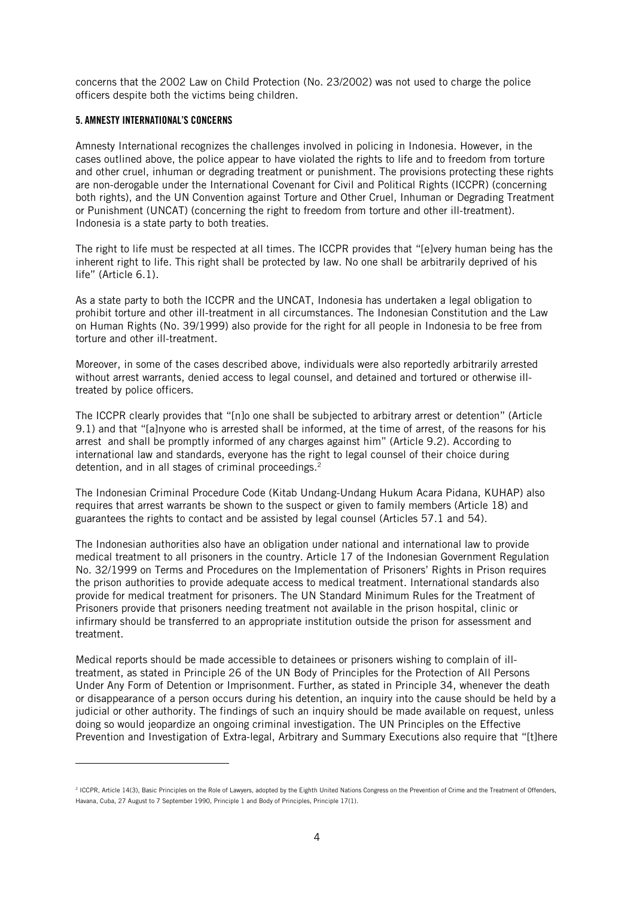concerns that the 2002 Law on Child Protection (No. 23/2002) was not used to charge the police officers despite both the victims being children.

# 5. AMNESTY INTERNATIONAL'S CONCERNS

l

Amnesty International recognizes the challenges involved in policing in Indonesia. However, in the cases outlined above, the police appear to have violated the rights to life and to freedom from torture and other cruel, inhuman or degrading treatment or punishment. The provisions protecting these rights are non-derogable under the International Covenant for Civil and Political Rights (ICCPR) (concerning both rights), and the UN Convention against Torture and Other Cruel, Inhuman or Degrading Treatment or Punishment (UNCAT) (concerning the right to freedom from torture and other ill-treatment). Indonesia is a state party to both treaties.

The right to life must be respected at all times. The ICCPR provides that "[e]very human being has the inherent right to life. This right shall be protected by law. No one shall be arbitrarily deprived of his life" (Article 6.1).

As a state party to both the ICCPR and the UNCAT, Indonesia has undertaken a legal obligation to prohibit torture and other ill-treatment in all circumstances. The Indonesian Constitution and the Law on Human Rights (No. 39/1999) also provide for the right for all people in Indonesia to be free from torture and other ill-treatment.

Moreover, in some of the cases described above, individuals were also reportedly arbitrarily arrested without arrest warrants, denied access to legal counsel, and detained and tortured or otherwise illtreated by police officers.

The ICCPR clearly provides that "[n]o one shall be subjected to arbitrary arrest or detention" (Article 9.1) and that "[a]nyone who is arrested shall be informed, at the time of arrest, of the reasons for his arrest and shall be promptly informed of any charges against him" (Article 9.2). According to international law and standards, everyone has the right to legal counsel of their choice during detention, and in all stages of criminal proceedings.<sup>2</sup>

The Indonesian Criminal Procedure Code (Kitab Undang-Undang Hukum Acara Pidana, KUHAP) also requires that arrest warrants be shown to the suspect or given to family members (Article 18) and guarantees the rights to contact and be assisted by legal counsel (Articles 57.1 and 54).

The Indonesian authorities also have an obligation under national and international law to provide medical treatment to all prisoners in the country. Article 17 of the Indonesian Government Regulation No. 32/1999 on Terms and Procedures on the Implementation of Prisoners' Rights in Prison requires the prison authorities to provide adequate access to medical treatment. International standards also provide for medical treatment for prisoners. The UN Standard Minimum Rules for the Treatment of Prisoners provide that prisoners needing treatment not available in the prison hospital, clinic or infirmary should be transferred to an appropriate institution outside the prison for assessment and treatment.

Medical reports should be made accessible to detainees or prisoners wishing to complain of illtreatment, as stated in Principle 26 of the UN Body of Principles for the Protection of All Persons Under Any Form of Detention or Imprisonment. Further, as stated in Principle 34, whenever the death or disappearance of a person occurs during his detention, an inquiry into the cause should be held by a judicial or other authority. The findings of such an inquiry should be made available on request, unless doing so would jeopardize an ongoing criminal investigation. The UN Principles on the Effective Prevention and Investigation of Extra-legal, Arbitrary and Summary Executions also require that "[t]here

<sup>&</sup>lt;sup>2</sup> ICCPR, Article 14(3), Basic Principles on the Role of Lawyers, adopted by the Eighth United Nations Congress on the Prevention of Crime and the Treatment of Offenders, Havana, Cuba, 27 August to 7 September 1990, Principle 1 and Body of Principles, Principle 17(1).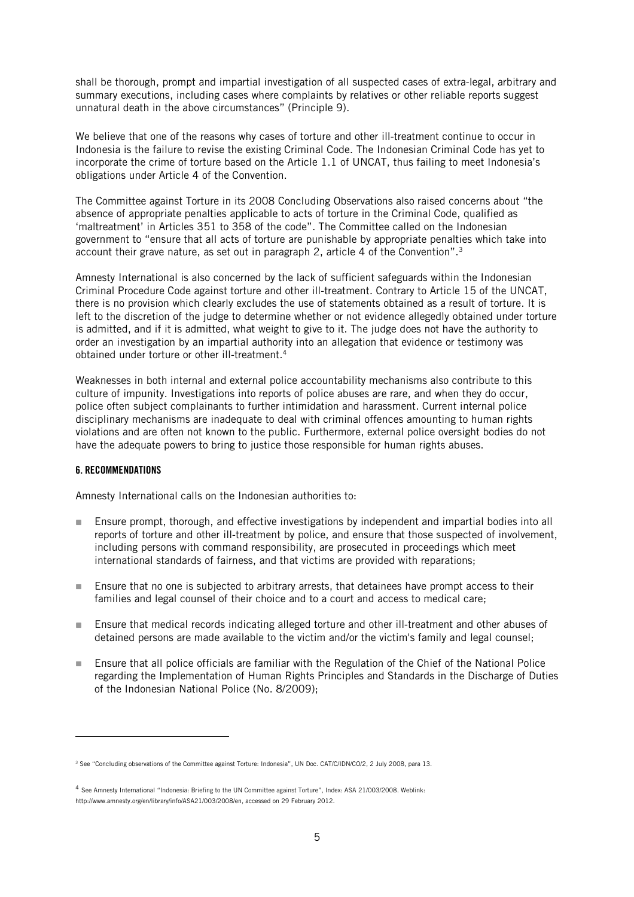shall be thorough, prompt and impartial investigation of all suspected cases of extra-legal, arbitrary and summary executions, including cases where complaints by relatives or other reliable reports suggest unnatural death in the above circumstances" (Principle 9).

We believe that one of the reasons why cases of torture and other ill-treatment continue to occur in Indonesia is the failure to revise the existing Criminal Code. The Indonesian Criminal Code has yet to incorporate the crime of torture based on the Article 1.1 of UNCAT, thus failing to meet Indonesia's obligations under Article 4 of the Convention.

The Committee against Torture in its 2008 Concluding Observations also raised concerns about "the absence of appropriate penalties applicable to acts of torture in the Criminal Code, qualified as 'maltreatment' in Articles 351 to 358 of the code". The Committee called on the Indonesian government to "ensure that all acts of torture are punishable by appropriate penalties which take into account their grave nature, as set out in paragraph 2, article 4 of the Convention".<sup>3</sup>

Amnesty International is also concerned by the lack of sufficient safeguards within the Indonesian Criminal Procedure Code against torture and other ill-treatment. Contrary to Article 15 of the UNCAT, there is no provision which clearly excludes the use of statements obtained as a result of torture. It is left to the discretion of the judge to determine whether or not evidence allegedly obtained under torture is admitted, and if it is admitted, what weight to give to it. The judge does not have the authority to order an investigation by an impartial authority into an allegation that evidence or testimony was obtained under torture or other ill-treatment.<sup>4</sup>

Weaknesses in both internal and external police accountability mechanisms also contribute to this culture of impunity. Investigations into reports of police abuses are rare, and when they do occur, police often subject complainants to further intimidation and harassment. Current internal police disciplinary mechanisms are inadequate to deal with criminal offences amounting to human rights violations and are often not known to the public. Furthermore, external police oversight bodies do not have the adequate powers to bring to justice those responsible for human rights abuses.

#### 6. RECOMMENDATIONS

 $\overline{a}$ 

Amnesty International calls on the Indonesian authorities to:

- Ensure prompt, thorough, and effective investigations by independent and impartial bodies into all reports of torture and other ill-treatment by police, and ensure that those suspected of involvement, including persons with command responsibility, are prosecuted in proceedings which meet international standards of fairness, and that victims are provided with reparations;
- Ensure that no one is subjected to arbitrary arrests, that detainees have prompt access to their families and legal counsel of their choice and to a court and access to medical care;
- **Ensure that medical records indicating alleged torture and other ill-treatment and other abuses of** detained persons are made available to the victim and/or the victim's family and legal counsel;
- Ensure that all police officials are familiar with the Regulation of the Chief of the National Police regarding the Implementation of Human Rights Principles and Standards in the Discharge of Duties of the Indonesian National Police (No. 8/2009);

<sup>3</sup> See "Concluding observations of the Committee against Torture: Indonesia", UN Doc. CAT/C/IDN/CO/2, 2 July 2008, para 13.

<sup>4</sup> See Amnesty International "Indonesia: Briefing to the UN Committee against Torture", Index: ASA 21/003/2008. Weblink: http://www.amnesty.org/en/library/info/ASA21/003/2008/en, accessed on 29 February 2012.